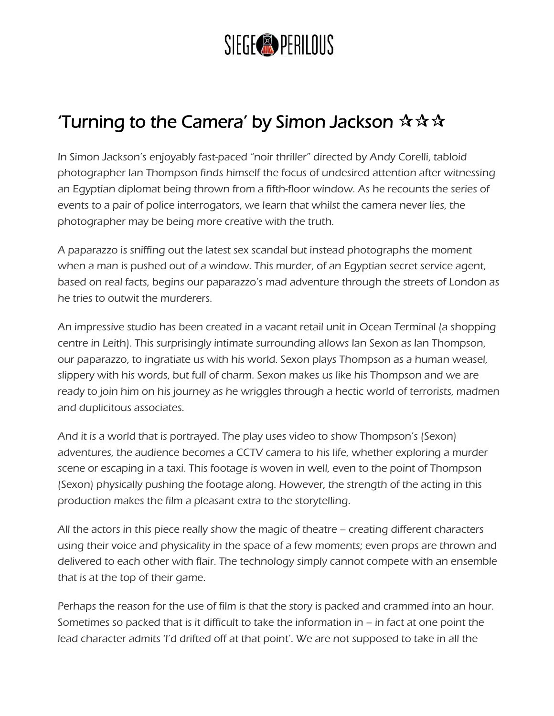

## Turning to the Camera' by Simon Jackson  $\mathbf{\hat{x}} \mathbf{\hat{x}} \mathbf{\hat{x}}$

In Simon Jackson's enjoyably fast-paced "noir thriller" directed by Andy Corelli, tabloid photographer Ian Thompson finds himself the focus of undesired attention after witnessing an Egyptian diplomat being thrown from a fifth-floor window. As he recounts the series of events to a pair of police interrogators, we learn that whilst the camera never lies, the photographer may be being more creative with the truth.

A paparazzo is sniffing out the latest sex scandal but instead photographs the moment when a man is pushed out of a window. This murder, of an Egyptian secret service agent, based on real facts, begins our paparazzo's mad adventure through the streets of London as he tries to outwit the murderers.

An impressive studio has been created in a vacant retail unit in Ocean Terminal (a shopping centre in Leith). This surprisingly intimate surrounding allows Ian Sexon as Ian Thompson, our paparazzo, to ingratiate us with his world. Sexon plays Thompson as a human weasel, slippery with his words, but full of charm. Sexon makes us like his Thompson and we are ready to join him on his journey as he wriggles through a hectic world of terrorists, madmen and duplicitous associates.

And it is a world that is portrayed. The play uses video to show Thompson's (Sexon) adventures, the audience becomes a CCTV camera to his life, whether exploring a murder scene or escaping in a taxi. This footage is woven in well, even to the point of Thompson (Sexon) physically pushing the footage along. However, the strength of the acting in this production makes the film a pleasant extra to the storytelling.

All the actors in this piece really show the magic of theatre – creating different characters using their voice and physicality in the space of a few moments; even props are thrown and delivered to each other with flair. The technology simply cannot compete with an ensemble that is at the top of their game.

Perhaps the reason for the use of film is that the story is packed and crammed into an hour. Sometimes so packed that is it difficult to take the information in – in fact at one point the lead character admits 'I'd drifted off at that point'. We are not supposed to take in all the